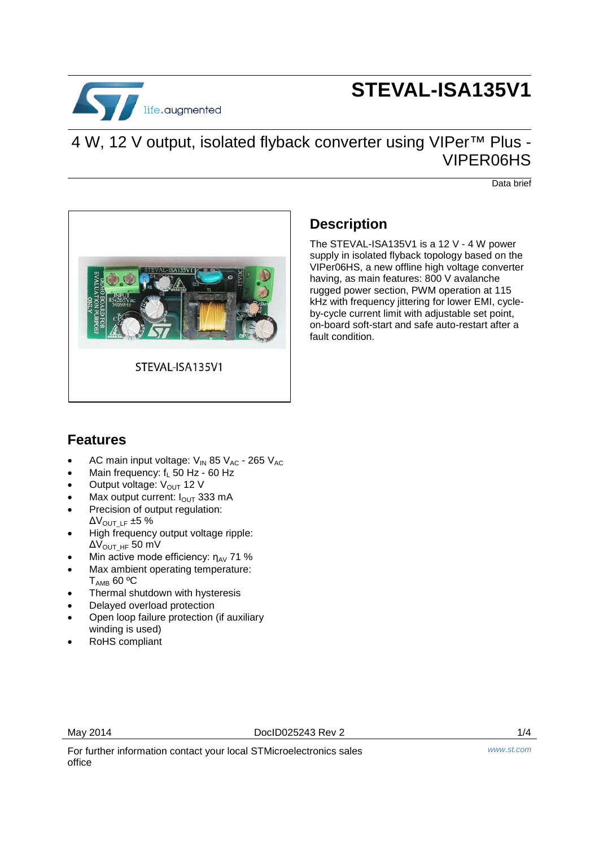

# **STEVAL-ISA135V1**

### 4 W, 12 V output, isolated flyback converter using VIPer<sup>™</sup> Plus -VIPER06HS

Data brief



### **Description**

The STEVAL-ISA135V1 is a 12 V - 4 W power supply in isolated flyback topology based on the VIPer06HS, a new offline high voltage converter having, as main features: 800 V avalanche rugged power section, PWM operation at 115 kHz with frequency jittering for lower EMI, cycleby-cycle current limit with adjustable set point, on-board soft-start and safe auto-restart after a fault condition.

#### **Features**

- AC main input voltage:  $V_{IN}$  85  $V_{AC}$  265  $V_{AC}$
- Main frequency:  $f_1$  50 Hz 60 Hz
- Output voltage: V<sub>OUT</sub> 12 V
- Max output current:  $I_{\text{OUT}}$  333 mA
- Precision of output regulation:  $\Delta V_{\text{OUT LF}}$  ±5 %
- High frequency output voltage ripple:  $\Delta V_{\text{OUT HF}}$  50 mV
- Min active mode efficiency:  $η<sub>AV</sub> 71 %$
- Max ambient operating temperature:  $T_{AMB}$  60 °C
- Thermal shutdown with hysteresis
- Delayed overload protection
- Open loop failure protection (if auxiliary winding is used)
- RoHS compliant

May 2014 DocID025243 Rev 2 1/4

For further information contact your local STMicroelectronics sales office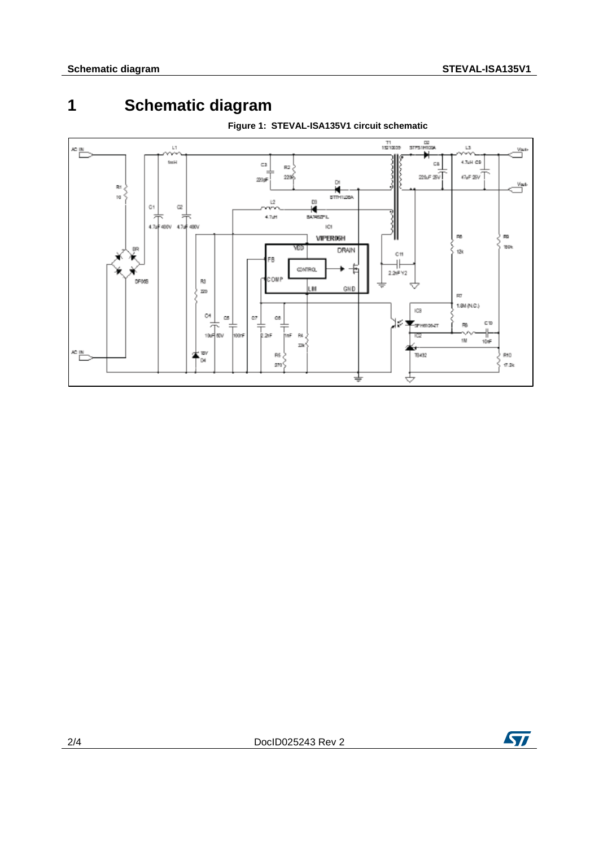## **1 Schematic diagram**



**Figure 1: STEVAL-ISA135V1 circuit schematic**

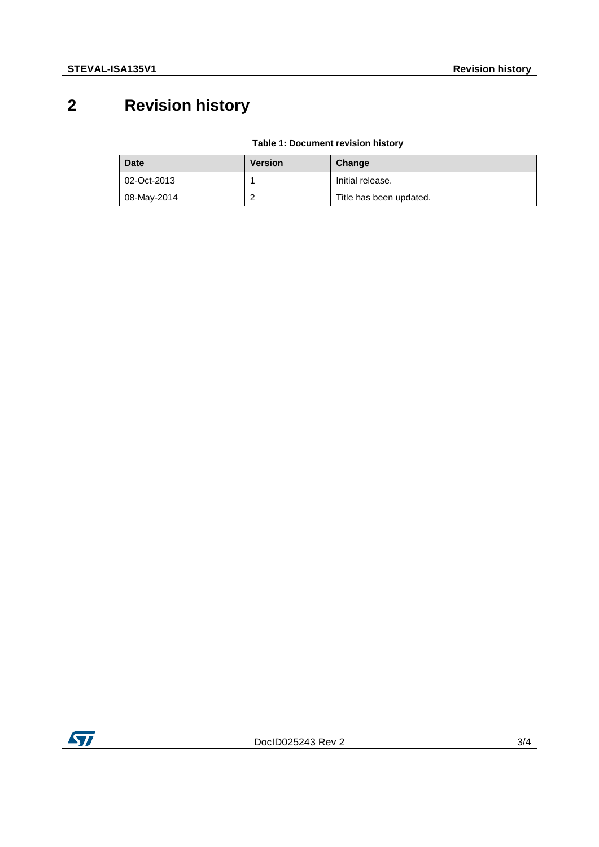## **2 Revision history**

#### **Table 1: Document revision history**

| Date        | <b>Version</b> | Change                  |
|-------------|----------------|-------------------------|
| 02-Oct-2013 |                | Initial release.        |
| 08-May-2014 | _              | Title has been updated. |